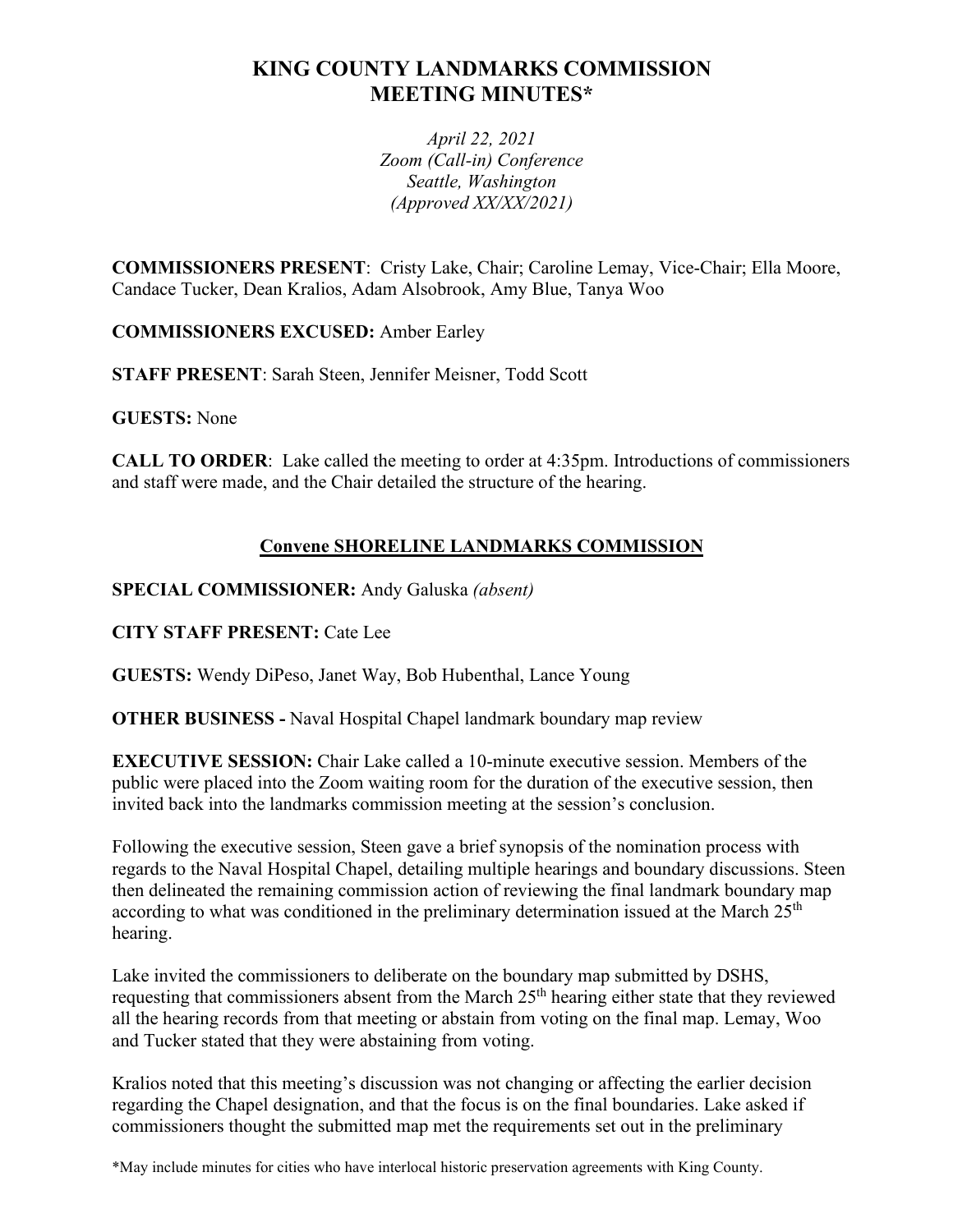# **KING COUNTY LANDMARKS COMMISSION MEETING MINUTES\***

*April 22, 2021 Zoom (Call-in) Conference Seattle, Washington (Approved XX/XX/2021)*

**COMMISSIONERS PRESENT**: Cristy Lake, Chair; Caroline Lemay, Vice-Chair; Ella Moore, Candace Tucker, Dean Kralios, Adam Alsobrook, Amy Blue, Tanya Woo

**COMMISSIONERS EXCUSED:** Amber Earley

**STAFF PRESENT**: Sarah Steen, Jennifer Meisner, Todd Scott

**GUESTS:** None

**CALL TO ORDER**: Lake called the meeting to order at 4:35pm. Introductions of commissioners and staff were made, and the Chair detailed the structure of the hearing.

## **Convene SHORELINE LANDMARKS COMMISSION**

**SPECIAL COMMISSIONER:** Andy Galuska *(absent)*

**CITY STAFF PRESENT:** Cate Lee

**GUESTS:** Wendy DiPeso, Janet Way, Bob Hubenthal, Lance Young

**OTHER BUSINESS -** Naval Hospital Chapel landmark boundary map review

**EXECUTIVE SESSION:** Chair Lake called a 10-minute executive session. Members of the public were placed into the Zoom waiting room for the duration of the executive session, then invited back into the landmarks commission meeting at the session's conclusion.

Following the executive session, Steen gave a brief synopsis of the nomination process with regards to the Naval Hospital Chapel, detailing multiple hearings and boundary discussions. Steen then delineated the remaining commission action of reviewing the final landmark boundary map according to what was conditioned in the preliminary determination issued at the March  $25<sup>th</sup>$ hearing.

Lake invited the commissioners to deliberate on the boundary map submitted by DSHS, requesting that commissioners absent from the March 25<sup>th</sup> hearing either state that they reviewed all the hearing records from that meeting or abstain from voting on the final map. Lemay, Woo and Tucker stated that they were abstaining from voting.

Kralios noted that this meeting's discussion was not changing or affecting the earlier decision regarding the Chapel designation, and that the focus is on the final boundaries. Lake asked if commissioners thought the submitted map met the requirements set out in the preliminary

\*May include minutes for cities who have interlocal historic preservation agreements with King County.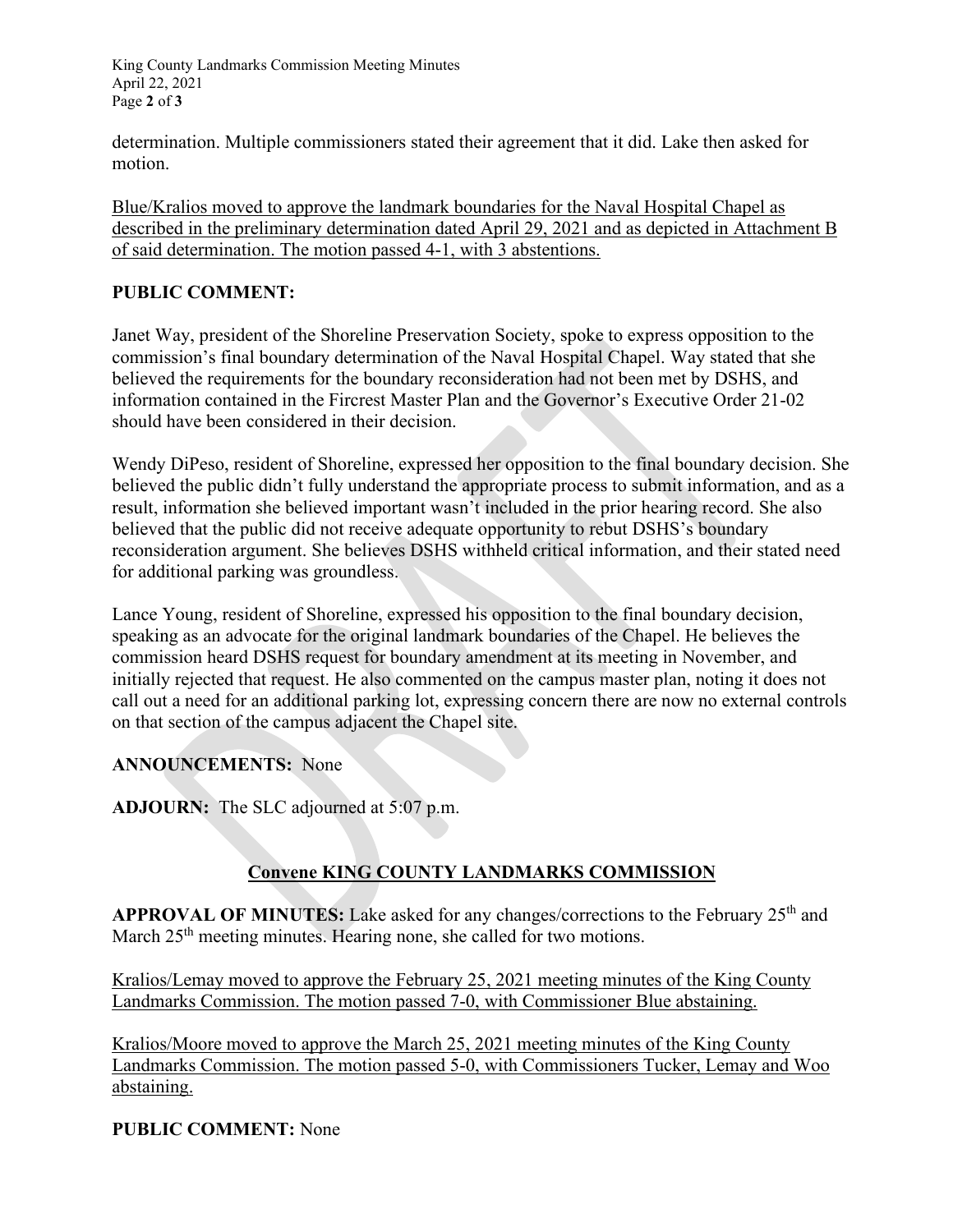King County Landmarks Commission Meeting Minutes April 22, 2021 Page **2** of **3**

determination. Multiple commissioners stated their agreement that it did. Lake then asked for motion.

Blue/Kralios moved to approve the landmark boundaries for the Naval Hospital Chapel as described in the preliminary determination dated April 29, 2021 and as depicted in Attachment B of said determination. The motion passed 4-1, with 3 abstentions.

### **PUBLIC COMMENT:**

Janet Way, president of the Shoreline Preservation Society, spoke to express opposition to the commission's final boundary determination of the Naval Hospital Chapel. Way stated that she believed the requirements for the boundary reconsideration had not been met by DSHS, and information contained in the Fircrest Master Plan and the Governor's Executive Order 21-02 should have been considered in their decision.

Wendy DiPeso, resident of Shoreline, expressed her opposition to the final boundary decision. She believed the public didn't fully understand the appropriate process to submit information, and as a result, information she believed important wasn't included in the prior hearing record. She also believed that the public did not receive adequate opportunity to rebut DSHS's boundary reconsideration argument. She believes DSHS withheld critical information, and their stated need for additional parking was groundless.

Lance Young, resident of Shoreline, expressed his opposition to the final boundary decision, speaking as an advocate for the original landmark boundaries of the Chapel. He believes the commission heard DSHS request for boundary amendment at its meeting in November, and initially rejected that request. He also commented on the campus master plan, noting it does not call out a need for an additional parking lot, expressing concern there are now no external controls on that section of the campus adjacent the Chapel site.

### **ANNOUNCEMENTS:** None

**ADJOURN:** The SLC adjourned at 5:07 p.m.

## **Convene KING COUNTY LANDMARKS COMMISSION**

**APPROVAL OF MINUTES:** Lake asked for any changes/corrections to the February 25<sup>th</sup> and March 25<sup>th</sup> meeting minutes. Hearing none, she called for two motions.

Kralios/Lemay moved to approve the February 25, 2021 meeting minutes of the King County Landmarks Commission. The motion passed 7-0, with Commissioner Blue abstaining.

Kralios/Moore moved to approve the March 25, 2021 meeting minutes of the King County Landmarks Commission. The motion passed 5-0, with Commissioners Tucker, Lemay and Woo abstaining.

#### **PUBLIC COMMENT:** None